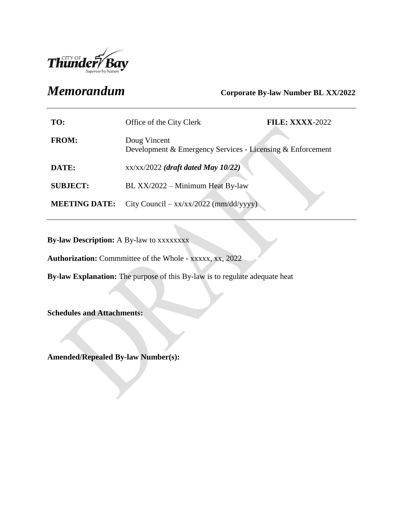

# *Memorandum* **Corporate By-law Number BL XX/2022**

| TO:                  | Office of the City Clerk                                                   | <b>FILE: XXXX-2022</b> |
|----------------------|----------------------------------------------------------------------------|------------------------|
| <b>FROM:</b>         | Doug Vincent<br>Development & Emergency Services - Licensing & Enforcement |                        |
| DATE:                | $xx/xx/2022$ (draft dated May 10/22)                                       |                        |
| <b>SUBJECT:</b>      | BL XX/2022 – Minimum Heat By-law                                           |                        |
| <b>MEETING DATE:</b> | City Council – $xx/xx/2022$ (mm/dd/yyyy)                                   |                        |

**By-law Description:** A By-law to xxxxxxxx

**Authorization:** Commmittee of the Whole - xxxxx, xx, 2022

**By-law Explanation:** The purpose of this By-law is to regulate adequate heat

**Schedules and Attachments:**

**Amended/Repealed By-law Number(s):**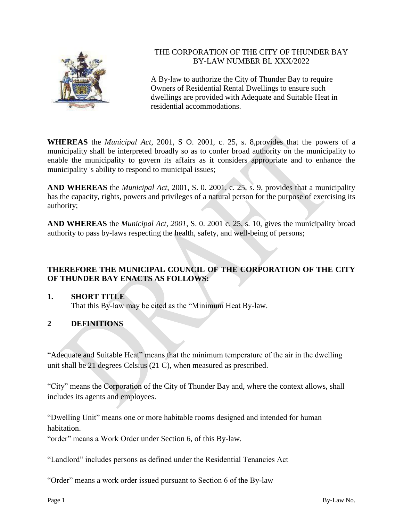

# THE CORPORATION OF THE CITY OF THUNDER BAY BY-LAW NUMBER BL XXX/2022

A By-law to authorize the City of Thunder Bay to require Owners of Residential Rental Dwellings to ensure such dwellings are provided with Adequate and Suitable Heat in residential accommodations.

**WHEREAS** the *Municipal Act*, 2001, S O. 2001, c. 25, s. 8,provides that the powers of a municipality shall be interpreted broadly so as to confer broad authority on the municipality to enable the municipality to govern its affairs as it considers appropriate and to enhance the municipality 's ability to respond to municipal issues;

**AND WHEREAS** the *Municipal Act*, 2001, S. 0. 2001, c. 25, s. 9, provides that a municipality has the capacity, rights, powers and privileges of a natural person for the purpose of exercising its authority;

**AND WHEREAS** the *Municipal Act, 2001*, S. 0. 2001 c. 25, s. 10, gives the municipality broad authority to pass by-laws respecting the health, safety, and well-being of persons;

# **THEREFORE THE MUNICIPAL COUNCIL OF THE CORPORATION OF THE CITY OF THUNDER BAY ENACTS AS FOLLOWS:**

# **1. SHORT TITLE**

That this By-law may be cited as the "Minimum Heat By-law.

# **2 DEFINITIONS**

"Adequate and Suitable Heat" means that the minimum temperature of the air in the dwelling unit shall be 21 degrees Celsius (21 C), when measured as prescribed.

"City" means the Corporation of the City of Thunder Bay and, where the context allows, shall includes its agents and employees.

"Dwelling Unit" means one or more habitable rooms designed and intended for human habitation.

"order" means a Work Order under Section 6, of this By-law.

"Landlord" includes persons as defined under the Residential Tenancies Act

"Order" means a work order issued pursuant to Section 6 of the By-law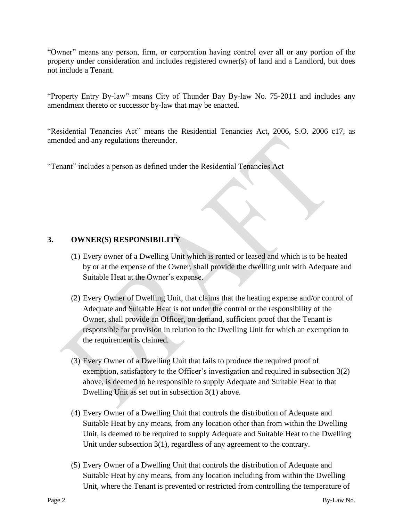"Owner" means any person, firm, or corporation having control over all or any portion of the property under consideration and includes registered owner(s) of land and a Landlord, but does not include a Tenant.

"Property Entry By-law" means City of Thunder Bay By-law No. 75-2011 and includes any amendment thereto or successor by-law that may be enacted.

"Residential Tenancies Act" means the Residential Tenancies Act, 2006, S.O. 2006 c17, as amended and any regulations thereunder.

"Tenant" includes a person as defined under the Residential Tenancies Act

# **3. OWNER(S) RESPONSIBILITY**

- (1) Every owner of a Dwelling Unit which is rented or leased and which is to be heated by or at the expense of the Owner, shall provide the dwelling unit with Adequate and Suitable Heat at the Owner's expense.
- (2) Every Owner of Dwelling Unit, that claims that the heating expense and/or control of Adequate and Suitable Heat is not under the control or the responsibility of the Owner, shall provide an Officer, on demand, sufficient proof that the Tenant is responsible for provision in relation to the Dwelling Unit for which an exemption to the requirement is claimed.
- (3) Every Owner of a Dwelling Unit that fails to produce the required proof of exemption, satisfactory to the Officer's investigation and required in subsection 3(2) above, is deemed to be responsible to supply Adequate and Suitable Heat to that Dwelling Unit as set out in subsection 3(1) above.
- (4) Every Owner of a Dwelling Unit that controls the distribution of Adequate and Suitable Heat by any means, from any location other than from within the Dwelling Unit, is deemed to be required to supply Adequate and Suitable Heat to the Dwelling Unit under subsection 3(1), regardless of any agreement to the contrary.
- (5) Every Owner of a Dwelling Unit that controls the distribution of Adequate and Suitable Heat by any means, from any location including from within the Dwelling Unit, where the Tenant is prevented or restricted from controlling the temperature of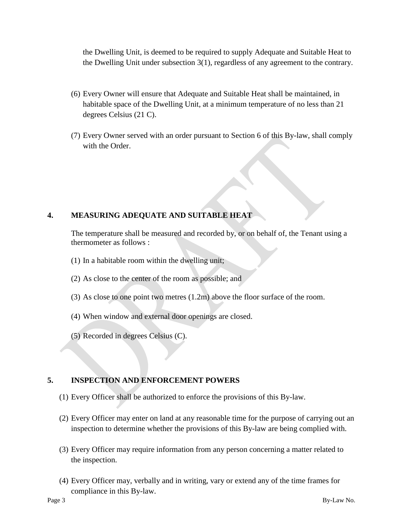the Dwelling Unit, is deemed to be required to supply Adequate and Suitable Heat to the Dwelling Unit under subsection 3(1), regardless of any agreement to the contrary.

- (6) Every Owner will ensure that Adequate and Suitable Heat shall be maintained, in habitable space of the Dwelling Unit, at a minimum temperature of no less than 21 degrees Celsius (21 C).
- (7) Every Owner served with an order pursuant to Section 6 of this By-law, shall comply with the Order.

# **4. MEASURING ADEQUATE AND SUITABLE HEAT**

The temperature shall be measured and recorded by, or on behalf of, the Tenant using a thermometer as follows :

- (1) In a habitable room within the dwelling unit;
- (2) As close to the center of the room as possible; and
- (3) As close to one point two metres (1.2m) above the floor surface of the room.
- (4) When window and external door openings are closed.
- (5) Recorded in degrees Celsius (C).

# **5. INSPECTION AND ENFORCEMENT POWERS**

- (1) Every Officer shall be authorized to enforce the provisions of this By-law.
- (2) Every Officer may enter on land at any reasonable time for the purpose of carrying out an inspection to determine whether the provisions of this By-law are being complied with.
- (3) Every Officer may require information from any person concerning a matter related to the inspection.
- (4) Every Officer may, verbally and in writing, vary or extend any of the time frames for compliance in this By-law.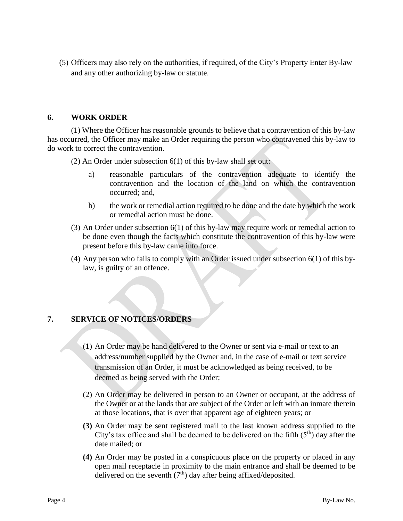(5) Officers may also rely on the authorities, if required, of the City's Property Enter By-law and any other authorizing by-law or statute.

#### **6. WORK ORDER**

(1) Where the Officer has reasonable grounds to believe that a contravention of this by-law has occurred, the Officer may make an Order requiring the person who contravened this by-law to do work to correct the contravention.

(2) An Order under subsection 6(1) of this by-law shall set out:

- a) reasonable particulars of the contravention adequate to identify the contravention and the location of the land on which the contravention occurred; and,
- b) the work or remedial action required to be done and the date by which the work or remedial action must be done.
- (3) An Order under subsection 6(1) of this by-law may require work or remedial action to be done even though the facts which constitute the contravention of this by-law were present before this by-law came into force.
- (4) Any person who fails to comply with an Order issued under subsection 6(1) of this bylaw, is guilty of an offence.

#### **7. SERVICE OF NOTICES/ORDERS**

- (1) An Order may be hand delivered to the Owner or sent via e-mail or text to an address/number supplied by the Owner and, in the case of e-mail or text service transmission of an Order, it must be acknowledged as being received, to be deemed as being served with the Order;
- (2) An Order may be delivered in person to an Owner or occupant, at the address of the Owner or at the lands that are subject of the Order or left with an inmate therein at those locations, that is over that apparent age of eighteen years; or
- **(3)** An Order may be sent registered mail to the last known address supplied to the City's tax office and shall be deemed to be delivered on the fifth  $(5<sup>th</sup>)$  day after the date mailed; or
- **(4)** An Order may be posted in a conspicuous place on the property or placed in any open mail receptacle in proximity to the main entrance and shall be deemed to be delivered on the seventh  $(7<sup>th</sup>)$  day after being affixed/deposited.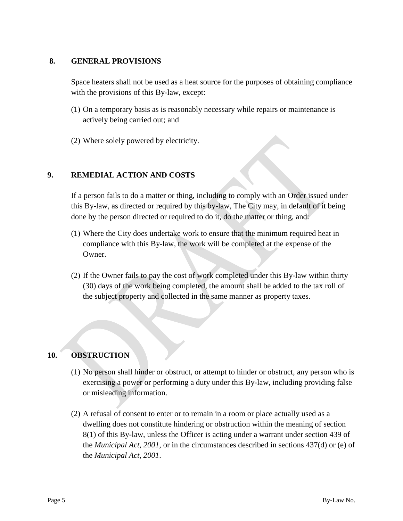#### **8. GENERAL PROVISIONS**

Space heaters shall not be used as a heat source for the purposes of obtaining compliance with the provisions of this By-law, except:

- (1) On a temporary basis as is reasonably necessary while repairs or maintenance is actively being carried out; and
- (2) Where solely powered by electricity.

#### **9. REMEDIAL ACTION AND COSTS**

If a person fails to do a matter or thing, including to comply with an Order issued under this By-law, as directed or required by this by-law, The City may, in default of it being done by the person directed or required to do it, do the matter or thing, and:

- (1) Where the City does undertake work to ensure that the minimum required heat in compliance with this By-law, the work will be completed at the expense of the Owner.
- (2) If the Owner fails to pay the cost of work completed under this By-law within thirty (30) days of the work being completed, the amount shall be added to the tax roll of the subject property and collected in the same manner as property taxes.

# **10. OBSTRUCTION**

- (1) No person shall hinder or obstruct, or attempt to hinder or obstruct, any person who is exercising a power or performing a duty under this By-law, including providing false or misleading information.
- (2) A refusal of consent to enter or to remain in a room or place actually used as a dwelling does not constitute hindering or obstruction within the meaning of section 8(1) of this By-law, unless the Officer is acting under a warrant under section 439 of the *Municipal Act, 2001*, or in the circumstances described in sections 437(d) or (e) of the *Municipal Act, 2001*.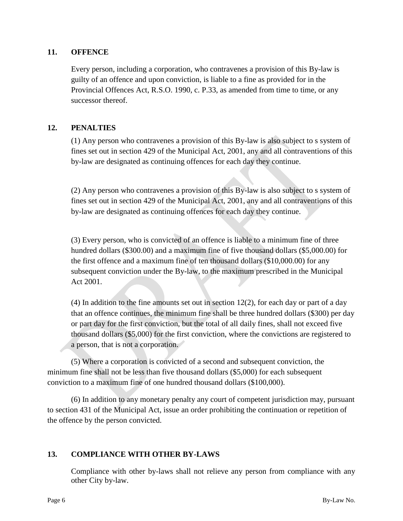### **11. OFFENCE**

Every person, including a corporation, who contravenes a provision of this By-law is guilty of an offence and upon conviction, is liable to a fine as provided for in the Provincial Offences Act, R.S.O. 1990, c. P.33, as amended from time to time, or any successor thereof.

# **12. PENALTIES**

(1) Any person who contravenes a provision of this By-law is also subject to s system of fines set out in section 429 of the Municipal Act, 2001, any and all contraventions of this by-law are designated as continuing offences for each day they continue.

(2) Any person who contravenes a provision of this By-law is also subject to s system of fines set out in section 429 of the Municipal Act, 2001, any and all contraventions of this by-law are designated as continuing offences for each day they continue.

(3) Every person, who is convicted of an offence is liable to a minimum fine of three hundred dollars (\$300.00) and a maximum fine of five thousand dollars (\$5,000.00) for the first offence and a maximum fine of ten thousand dollars (\$10,000.00) for any subsequent conviction under the By-law, to the maximum prescribed in the Municipal Act 2001.

(4) In addition to the fine amounts set out in section 12(2), for each day or part of a day that an offence continues, the minimum fine shall be three hundred dollars (\$300) per day or part day for the first conviction, but the total of all daily fines, shall not exceed five thousand dollars (\$5,000) for the first conviction, where the convictions are registered to a person, that is not a corporation.

(5) Where a corporation is convicted of a second and subsequent conviction, the minimum fine shall not be less than five thousand dollars (\$5,000) for each subsequent conviction to a maximum fine of one hundred thousand dollars (\$100,000).

(6) In addition to any monetary penalty any court of competent jurisdiction may, pursuant to section 431 of the Municipal Act, issue an order prohibiting the continuation or repetition of the offence by the person convicted.

# **13. COMPLIANCE WITH OTHER BY-LAWS**

Compliance with other by-laws shall not relieve any person from compliance with any other City by-law.